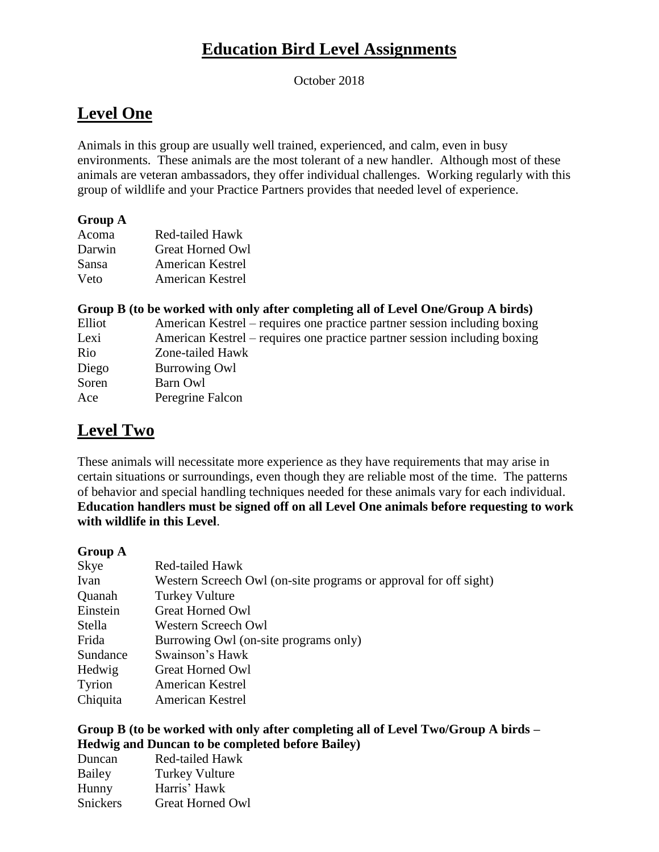# **Education Bird Level Assignments**

October 2018

## **Level One**

Animals in this group are usually well trained, experienced, and calm, even in busy environments. These animals are the most tolerant of a new handler. Although most of these animals are veteran ambassadors, they offer individual challenges. Working regularly with this group of wildlife and your Practice Partners provides that needed level of experience.

### **Group A**

| Acoma  | <b>Red-tailed Hawk</b>  |
|--------|-------------------------|
| Darwin | Great Horned Owl        |
| Sansa  | <b>American Kestrel</b> |
| Veto   | <b>American Kestrel</b> |

### **Group B (to be worked with only after completing all of Level One/Group A birds)**

| Elliot | American Kestrel – requires one practice partner session including boxing |
|--------|---------------------------------------------------------------------------|
| Lexi   | American Kestrel – requires one practice partner session including boxing |
| Rio    | Zone-tailed Hawk                                                          |
| Diego  | <b>Burrowing Owl</b>                                                      |
| Soren  | Barn Owl                                                                  |
| Ace    | Peregrine Falcon                                                          |
|        |                                                                           |

## **Level Two**

These animals will necessitate more experience as they have requirements that may arise in certain situations or surroundings, even though they are reliable most of the time. The patterns of behavior and special handling techniques needed for these animals vary for each individual. **Education handlers must be signed off on all Level One animals before requesting to work with wildlife in this Level**.

#### **Group A**

| Skye     | Red-tailed Hawk                                                  |
|----------|------------------------------------------------------------------|
| Ivan     | Western Screech Owl (on-site programs or approval for off sight) |
| Quanah   | <b>Turkey Vulture</b>                                            |
| Einstein | <b>Great Horned Owl</b>                                          |
| Stella   | Western Screech Owl                                              |
| Frida    | Burrowing Owl (on-site programs only)                            |
| Sundance | Swainson's Hawk                                                  |
| Hedwig   | Great Horned Owl                                                 |
| Tyrion   | American Kestrel                                                 |
| Chiquita | <b>American Kestrel</b>                                          |

### **Group B (to be worked with only after completing all of Level Two/Group A birds – Hedwig and Duncan to be completed before Bailey)**

| Duncan   | Red-tailed Hawk         |
|----------|-------------------------|
| Bailey   | <b>Turkey Vulture</b>   |
| Hunny    | Harris' Hawk            |
| Snickers | <b>Great Horned Owl</b> |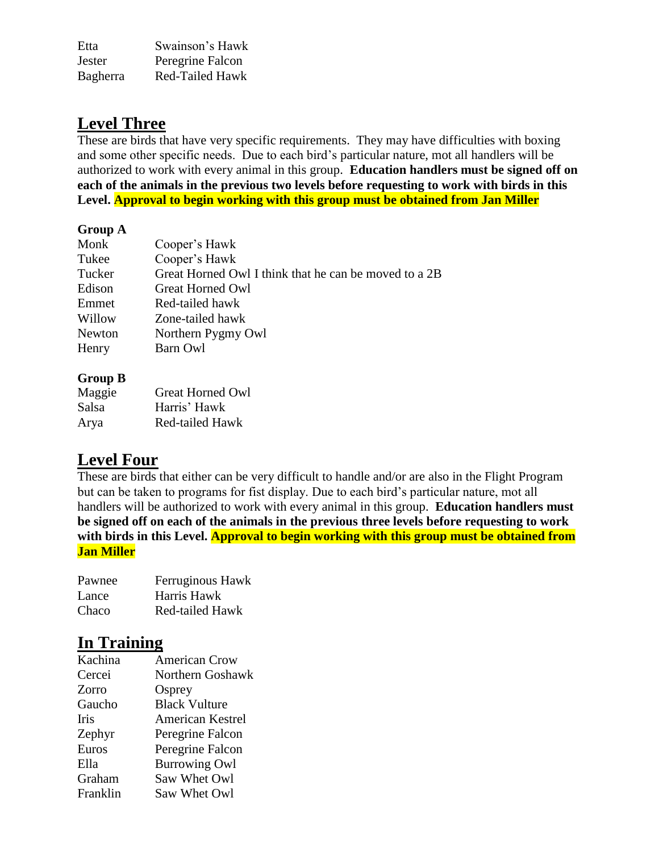Etta Swainson's Hawk Jester Peregrine Falcon Bagherra Red-Tailed Hawk

### **Level Three**

These are birds that have very specific requirements. They may have difficulties with boxing and some other specific needs. Due to each bird's particular nature, mot all handlers will be authorized to work with every animal in this group. **Education handlers must be signed off on each of the animals in the previous two levels before requesting to work with birds in this Level. Approval to begin working with this group must be obtained from Jan Miller**

### **Group A**

| Monk   | Cooper's Hawk                                         |
|--------|-------------------------------------------------------|
| Tukee  | Cooper's Hawk                                         |
| Tucker | Great Horned Owl I think that he can be moved to a 2B |
| Edison | Great Horned Owl                                      |
| Emmet  | Red-tailed hawk                                       |
| Willow | Zone-tailed hawk                                      |
| Newton | Northern Pygmy Owl                                    |
| Henry  | Barn Owl                                              |
|        |                                                       |

### **Group B**

| Maggie | Great Horned Owl       |
|--------|------------------------|
| Salsa  | Harris' Hawk           |
| Arya   | <b>Red-tailed Hawk</b> |

### **Level Four**

These are birds that either can be very difficult to handle and/or are also in the Flight Program but can be taken to programs for fist display. Due to each bird's particular nature, mot all handlers will be authorized to work with every animal in this group. **Education handlers must be signed off on each of the animals in the previous three levels before requesting to work with birds in this Level. Approval to begin working with this group must be obtained from Jan Miller**

| Pawnee | Ferruginous Hawk       |
|--------|------------------------|
| Lance  | Harris Hawk            |
| Chaco  | <b>Red-tailed Hawk</b> |

### **In Training**

| Kachina  | <b>American Crow</b>    |
|----------|-------------------------|
| Cercei   | Northern Goshawk        |
| Zorro    | Osprey                  |
| Gaucho   | <b>Black Vulture</b>    |
| Iris     | <b>American Kestrel</b> |
| Zephyr   | Peregrine Falcon        |
| Euros    | Peregrine Falcon        |
| Ella     | <b>Burrowing Owl</b>    |
| Graham   | Saw Whet Owl            |
| Franklin | Saw Whet Owl            |